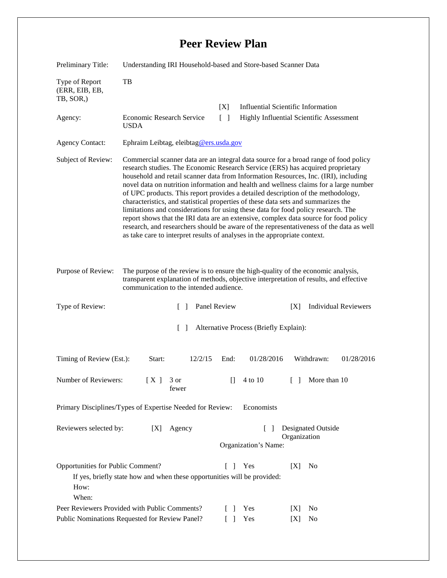## **Peer Review Plan**

| Preliminary Title:                                                                                                                                                                  | Understanding IRI Household-based and Store-based Scanner Data                                                                                                                                                                                                                                                                                                                                                                                                                                                                                                                                                                                                                                                                                                                                                                                                                       |                                                             |                                                   |                             |
|-------------------------------------------------------------------------------------------------------------------------------------------------------------------------------------|--------------------------------------------------------------------------------------------------------------------------------------------------------------------------------------------------------------------------------------------------------------------------------------------------------------------------------------------------------------------------------------------------------------------------------------------------------------------------------------------------------------------------------------------------------------------------------------------------------------------------------------------------------------------------------------------------------------------------------------------------------------------------------------------------------------------------------------------------------------------------------------|-------------------------------------------------------------|---------------------------------------------------|-----------------------------|
| Type of Report<br>(ERR, EIB, EB,<br>TB, SOR,)                                                                                                                                       | TB                                                                                                                                                                                                                                                                                                                                                                                                                                                                                                                                                                                                                                                                                                                                                                                                                                                                                   |                                                             |                                                   |                             |
|                                                                                                                                                                                     |                                                                                                                                                                                                                                                                                                                                                                                                                                                                                                                                                                                                                                                                                                                                                                                                                                                                                      | [X]                                                         | <b>Influential Scientific Information</b>         |                             |
| Agency:                                                                                                                                                                             | Economic Research Service<br><b>USDA</b>                                                                                                                                                                                                                                                                                                                                                                                                                                                                                                                                                                                                                                                                                                                                                                                                                                             | Highly Influential Scientific Assessment<br>$\lceil \rceil$ |                                                   |                             |
| <b>Agency Contact:</b>                                                                                                                                                              | Ephraim Leibtag, eleibtag@ers.usda.gov                                                                                                                                                                                                                                                                                                                                                                                                                                                                                                                                                                                                                                                                                                                                                                                                                                               |                                                             |                                                   |                             |
| Subject of Review:                                                                                                                                                                  | Commercial scanner data are an integral data source for a broad range of food policy<br>research studies. The Economic Research Service (ERS) has acquired proprietary<br>household and retail scanner data from Information Resources, Inc. (IRI), including<br>novel data on nutrition information and health and wellness claims for a large number<br>of UPC products. This report provides a detailed description of the methodology,<br>characteristics, and statistical properties of these data sets and summarizes the<br>limitations and considerations for using these data for food policy research. The<br>report shows that the IRI data are an extensive, complex data source for food policy<br>research, and researchers should be aware of the representativeness of the data as well<br>as take care to interpret results of analyses in the appropriate context. |                                                             |                                                   |                             |
| Purpose of Review:                                                                                                                                                                  | The purpose of the review is to ensure the high-quality of the economic analysis,<br>transparent explanation of methods, objective interpretation of results, and effective<br>communication to the intended audience.                                                                                                                                                                                                                                                                                                                                                                                                                                                                                                                                                                                                                                                               |                                                             |                                                   |                             |
| Type of Review:                                                                                                                                                                     | $\Box$                                                                                                                                                                                                                                                                                                                                                                                                                                                                                                                                                                                                                                                                                                                                                                                                                                                                               | Panel Review                                                | [X]                                               | <b>Individual Reviewers</b> |
| $\Box$<br>Alternative Process (Briefly Explain):                                                                                                                                    |                                                                                                                                                                                                                                                                                                                                                                                                                                                                                                                                                                                                                                                                                                                                                                                                                                                                                      |                                                             |                                                   |                             |
| Timing of Review (Est.):                                                                                                                                                            | Start:<br>12/2/15                                                                                                                                                                                                                                                                                                                                                                                                                                                                                                                                                                                                                                                                                                                                                                                                                                                                    | End:                                                        | 01/28/2016                                        | Withdrawn:<br>01/28/2016    |
| Number of Reviewers:                                                                                                                                                                | [X]<br>3 or<br>fewer                                                                                                                                                                                                                                                                                                                                                                                                                                                                                                                                                                                                                                                                                                                                                                                                                                                                 | $\Box$                                                      | 4 to 10<br>$\begin{array}{c} \square \end{array}$ | More than 10                |
| Economists<br>Primary Disciplines/Types of Expertise Needed for Review:                                                                                                             |                                                                                                                                                                                                                                                                                                                                                                                                                                                                                                                                                                                                                                                                                                                                                                                                                                                                                      |                                                             |                                                   |                             |
| <b>Designated Outside</b><br>Reviewers selected by:<br>Agency<br>[X]<br>$\lceil \ \rceil$<br>Organization<br>Organization's Name:                                                   |                                                                                                                                                                                                                                                                                                                                                                                                                                                                                                                                                                                                                                                                                                                                                                                                                                                                                      |                                                             |                                                   |                             |
| Opportunities for Public Comment?<br>[X]<br>L<br>Yes<br>N <sub>0</sub><br>$\mathbf{I}$<br>If yes, briefly state how and when these opportunities will be provided:<br>How:<br>When: |                                                                                                                                                                                                                                                                                                                                                                                                                                                                                                                                                                                                                                                                                                                                                                                                                                                                                      |                                                             |                                                   |                             |
| Peer Reviewers Provided with Public Comments?<br>$\Box$                                                                                                                             |                                                                                                                                                                                                                                                                                                                                                                                                                                                                                                                                                                                                                                                                                                                                                                                                                                                                                      |                                                             | Yes<br>[X]                                        | N <sub>0</sub>              |
| Public Nominations Requested for Review Panel?<br>$\Box$                                                                                                                            |                                                                                                                                                                                                                                                                                                                                                                                                                                                                                                                                                                                                                                                                                                                                                                                                                                                                                      |                                                             | Yes<br>[X]                                        | No                          |